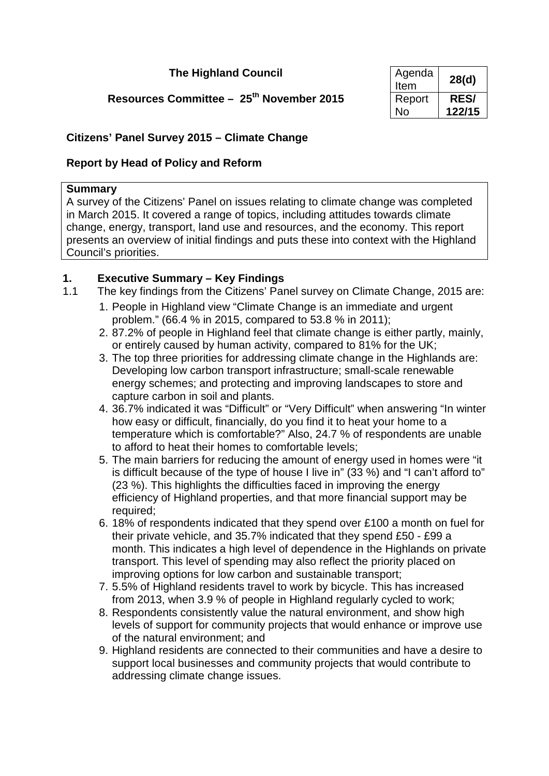## **The Highland Council**

## **Resources Committee - 25<sup>th</sup> November 2015**

| Agenda<br>Item | 28(d)       |
|----------------|-------------|
| Report         | <b>RES/</b> |
| N٥             | 122/15      |

## **Citizens' Panel Survey 2015 – Climate Change**

## **Report by Head of Policy and Reform**

### **Summary**

A survey of the Citizens' Panel on issues relating to climate change was completed in March 2015. It covered a range of topics, including attitudes towards climate change, energy, transport, land use and resources, and the economy. This report presents an overview of initial findings and puts these into context with the Highland Council's priorities.

# **1. Executive Summary – Key Findings**

- <span id="page-0-0"></span>The key findings from the Citizens' Panel survey on Climate Change, 2015 are:
	- 1. People in Highland view "Climate Change is an immediate and urgent problem." (66.4 % in 2015, compared to 53.8 % in 2011);
	- 2. 87.2% of people in Highland feel that climate change is either partly, mainly, or entirely caused by human activity, compared to 81% for the UK;
	- 3. The top three priorities for addressing climate change in the Highlands are: Developing low carbon transport infrastructure; small-scale renewable energy schemes; and protecting and improving landscapes to store and capture carbon in soil and plants.
	- 4. 36.7% indicated it was "Difficult" or "Very Difficult" when answering "In winter how easy or difficult, financially, do you find it to heat your home to a temperature which is comfortable?" Also, 24.7 % of respondents are unable to afford to heat their homes to comfortable levels;
	- 5. The main barriers for reducing the amount of energy used in homes were "it is difficult because of the type of house I live in" (33 %) and "I can't afford to" (23 %). This highlights the difficulties faced in improving the energy efficiency of Highland properties, and that more financial support may be required;
	- 6. 18% of respondents indicated that they spend over £100 a month on fuel for their private vehicle, and 35.7% indicated that they spend £50 - £99 a month. This indicates a high level of dependence in the Highlands on private transport. This level of spending may also reflect the priority placed on improving options for low carbon and sustainable transport;
	- 7. 5.5% of Highland residents travel to work by bicycle. This has increased from 2013, when 3.9 % of people in Highland regularly cycled to work;
	- 8. Respondents consistently value the natural environment, and show high levels of support for community projects that would enhance or improve use of the natural environment; and
	- 9. Highland residents are connected to their communities and have a desire to support local businesses and community projects that would contribute to addressing climate change issues.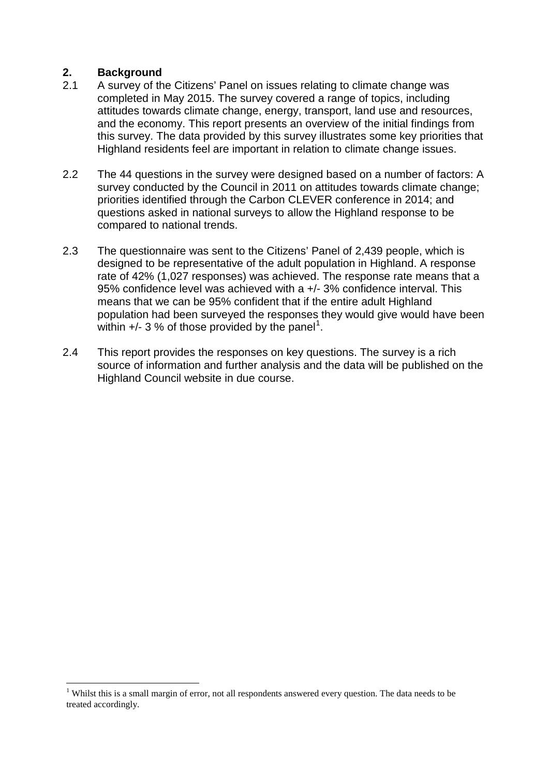# **2. Background**

- A survey of the Citizens' Panel on issues relating to climate change was completed in May 2015. The survey covered a range of topics, including attitudes towards climate change, energy, transport, land use and resources, and the economy. This report presents an overview of the initial findings from this survey. The data provided by this survey illustrates some key priorities that Highland residents feel are important in relation to climate change issues.
- 2.2 The 44 questions in the survey were designed based on a number of factors: A survey conducted by the Council in 2011 on attitudes towards climate change; priorities identified through the Carbon CLEVER conference in 2014; and questions asked in national surveys to allow the Highland response to be compared to national trends.
- 2.3 The questionnaire was sent to the Citizens' Panel of 2,439 people, which is designed to be representative of the adult population in Highland. A response rate of 42% (1,027 responses) was achieved. The response rate means that a 95% confidence level was achieved with a +/- 3% confidence interval. This means that we can be 95% confident that if the entire adult Highland population had been surveyed the responses they would give would have been within  $+$ /- 3 % of those provided by the panel<sup>[1](#page-0-0)</sup>.
- 2.4 This report provides the responses on key questions. The survey is a rich source of information and further analysis and the data will be published on the Highland Council website in due course.

<sup>&</sup>lt;sup>1</sup> Whilst this is a small margin of error, not all respondents answered every question. The data needs to be treated accordingly.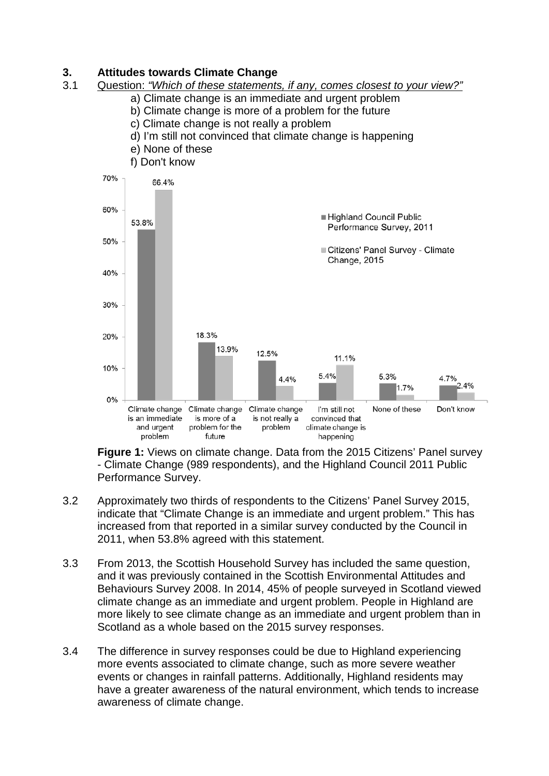# **3. Attitudes towards Climate Change**

### 3.1 Question: *"Which of these statements, if any, comes closest to your view?"*

- a) Climate change is an immediate and urgent problem
- b) Climate change is more of a problem for the future
- c) Climate change is not really a problem
- d) I'm still not convinced that climate change is happening
- e) None of these
- f) Don't know



**Figure 1:** Views on climate change. Data from the 2015 Citizens' Panel survey - Climate Change (989 respondents), and the Highland Council 2011 Public Performance Survey.

- 3.2 Approximately two thirds of respondents to the Citizens' Panel Survey 2015, indicate that "Climate Change is an immediate and urgent problem." This has increased from that reported in a similar survey conducted by the Council in 2011, when 53.8% agreed with this statement.
- 3.3 From 2013, the Scottish Household Survey has included the same question, and it was previously contained in the Scottish Environmental Attitudes and Behaviours Survey 2008. In 2014, 45% of people surveyed in Scotland viewed climate change as an immediate and urgent problem. People in Highland are more likely to see climate change as an immediate and urgent problem than in Scotland as a whole based on the 2015 survey responses.
- 3.4 The difference in survey responses could be due to Highland experiencing more events associated to climate change, such as more severe weather events or changes in rainfall patterns. Additionally, Highland residents may have a greater awareness of the natural environment, which tends to increase awareness of climate change.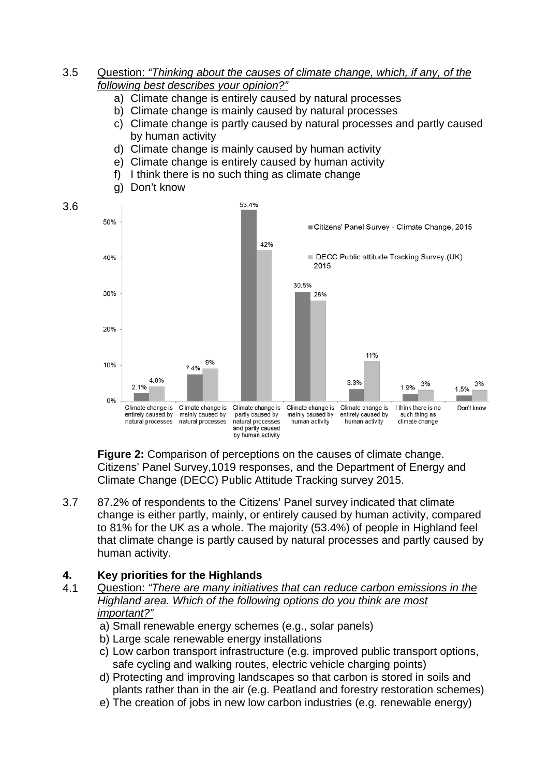### 3.5 Question: *"Thinking about the causes of climate change, which, if any, of the following best describes your opinion?"*

- a) Climate change is entirely caused by natural processes
- b) Climate change is mainly caused by natural processes
- c) Climate change is partly caused by natural processes and partly caused by human activity
- d) Climate change is mainly caused by human activity
- e) Climate change is entirely caused by human activity
- f) I think there is no such thing as climate change
- g) Don't know

3.6



**Figure 2:** Comparison of perceptions on the causes of climate change. Citizens' Panel Survey,1019 responses, and the Department of Energy and Climate Change (DECC) Public Attitude Tracking survey 2015.

3.7 87.2% of respondents to the Citizens' Panel survey indicated that climate change is either partly, mainly, or entirely caused by human activity, compared to 81% for the UK as a whole. The majority (53.4%) of people in Highland feel that climate change is partly caused by natural processes and partly caused by human activity.

## **4. Key priorities for the Highlands**

- 4.1 Question: *"There are many initiatives that can reduce carbon emissions in the Highland area. Which of the following options do you think are most important?"*
	- a) Small renewable energy schemes (e.g., solar panels)
	- b) Large scale renewable energy installations
	- c) Low carbon transport infrastructure (e.g. improved public transport options, safe cycling and walking routes, electric vehicle charging points)
	- d) Protecting and improving landscapes so that carbon is stored in soils and plants rather than in the air (e.g. Peatland and forestry restoration schemes)
	- e) The creation of jobs in new low carbon industries (e.g. renewable energy)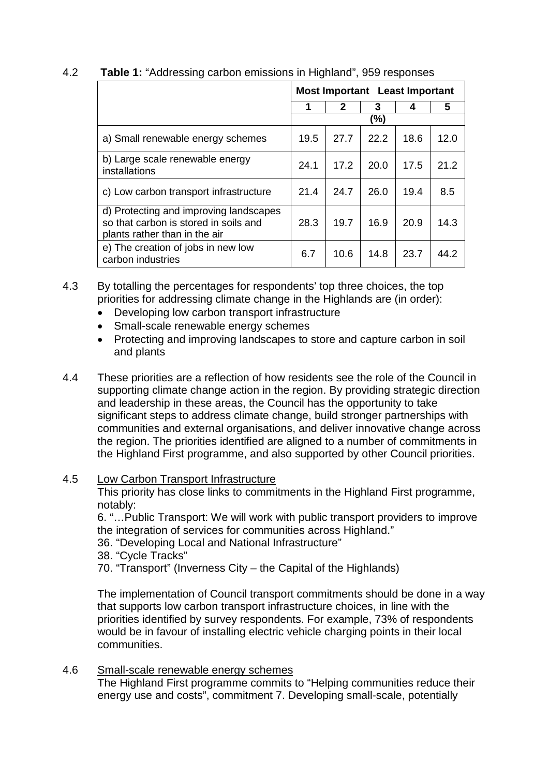| 4.2 | <b>Table 1: "Addressing carbon emissions in Highland", 959 responses</b> |  |  |
|-----|--------------------------------------------------------------------------|--|--|
|     |                                                                          |  |  |

|                                                                                                                  | <b>Most Important</b> Least Important |      |      |      |      |
|------------------------------------------------------------------------------------------------------------------|---------------------------------------|------|------|------|------|
|                                                                                                                  | 1                                     | 2    | 3    | 4    | 5    |
|                                                                                                                  | (%)                                   |      |      |      |      |
| a) Small renewable energy schemes                                                                                | 19.5                                  | 27.7 | 22.2 | 18.6 | 12.0 |
| b) Large scale renewable energy<br>installations                                                                 | 24.1                                  | 17.2 | 20.0 | 17.5 | 21.2 |
| c) Low carbon transport infrastructure                                                                           | 21.4                                  | 24.7 | 26.0 | 19.4 | 8.5  |
| d) Protecting and improving landscapes<br>so that carbon is stored in soils and<br>plants rather than in the air | 28.3                                  | 19.7 | 16.9 | 20.9 | 14.3 |
| e) The creation of jobs in new low<br>carbon industries                                                          | 6.7                                   | 10.6 | 14.8 | 23.7 | 44.2 |

4.3 By totalling the percentages for respondents' top three choices, the top priorities for addressing climate change in the Highlands are (in order):

- Developing low carbon transport infrastructure
- Small-scale renewable energy schemes
- Protecting and improving landscapes to store and capture carbon in soil and plants
- 4.4 These priorities are a reflection of how residents see the role of the Council in supporting climate change action in the region. By providing strategic direction and leadership in these areas, the Council has the opportunity to take significant steps to address climate change, build stronger partnerships with communities and external organisations, and deliver innovative change across the region. The priorities identified are aligned to a number of commitments in the Highland First programme, and also supported by other Council priorities.

### 4.5 Low Carbon Transport Infrastructure

This priority has close links to commitments in the Highland First programme, notably:

6. "…Public Transport: We will work with public transport providers to improve the integration of services for communities across Highland."

- 36. "Developing Local and National Infrastructure"
- 38. "Cycle Tracks"

70. "Transport" (Inverness City – the Capital of the Highlands)

The implementation of Council transport commitments should be done in a way that supports low carbon transport infrastructure choices, in line with the priorities identified by survey respondents. For example, 73% of respondents would be in favour of installing electric vehicle charging points in their local communities.

4.6 Small-scale renewable energy schemes

The Highland First programme commits to "Helping communities reduce their energy use and costs", commitment 7. Developing small-scale, potentially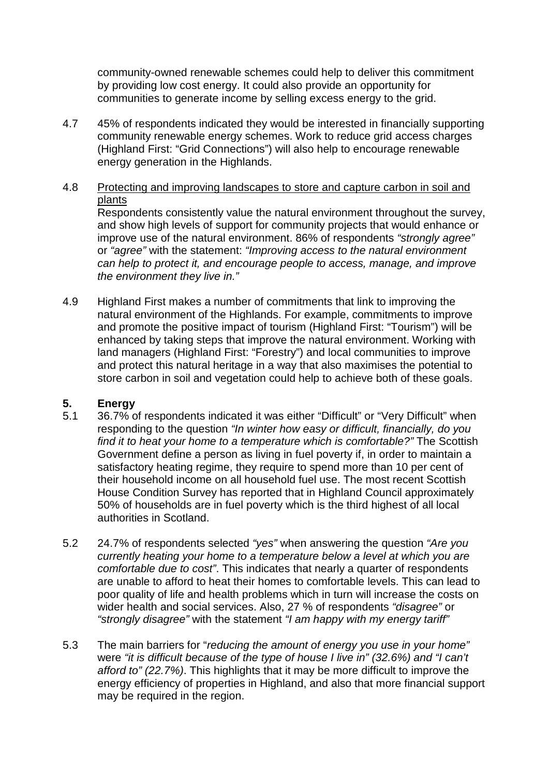community-owned renewable schemes could help to deliver this commitment by providing low cost energy. It could also provide an opportunity for communities to generate income by selling excess energy to the grid.

4.7 45% of respondents indicated they would be interested in financially supporting community renewable energy schemes. Work to reduce grid access charges (Highland First: "Grid Connections") will also help to encourage renewable energy generation in the Highlands.

### 4.8 Protecting and improving landscapes to store and capture carbon in soil and plants

Respondents consistently value the natural environment throughout the survey, and show high levels of support for community projects that would enhance or improve use of the natural environment. 86% of respondents *"strongly agree"*  or *"agree"* with the statement: *"Improving access to the natural environment can help to protect it, and encourage people to access, manage, and improve the environment they live in."* 

4.9 Highland First makes a number of commitments that link to improving the natural environment of the Highlands. For example, commitments to improve and promote the positive impact of tourism (Highland First: "Tourism") will be enhanced by taking steps that improve the natural environment. Working with land managers (Highland First: "Forestry") and local communities to improve and protect this natural heritage in a way that also maximises the potential to store carbon in soil and vegetation could help to achieve both of these goals.

## **5. Energy**

- 5.1 36.7% of respondents indicated it was either "Difficult" or "Very Difficult" when responding to the question *"In winter how easy or difficult, financially, do you find it to heat your home to a temperature which is comfortable?"* The Scottish Government define a person as living in fuel poverty if, in order to maintain a satisfactory heating regime, they require to spend more than 10 per cent of their household income on all household fuel use. The most recent Scottish House Condition Survey has reported that in Highland Council approximately 50% of households are in fuel poverty which is the third highest of all local authorities in Scotland.
- 5.2 24.7% of respondents selected *"yes"* when answering the question *"Are you currently heating your home to a temperature below a level at which you are comfortable due to cost"*. This indicates that nearly a quarter of respondents are unable to afford to heat their homes to comfortable levels. This can lead to poor quality of life and health problems which in turn will increase the costs on wider health and social services. Also, 27 % of respondents *"disagree"* or *"strongly disagree"* with the statement *"I am happy with my energy tariff"*
- 5.3 The main barriers for "*reducing the amount of energy you use in your home"*  were *"it is difficult because of the type of house I live in" (32.6%) and "I can't afford to" (22.7%)*. This highlights that it may be more difficult to improve the energy efficiency of properties in Highland, and also that more financial support may be required in the region.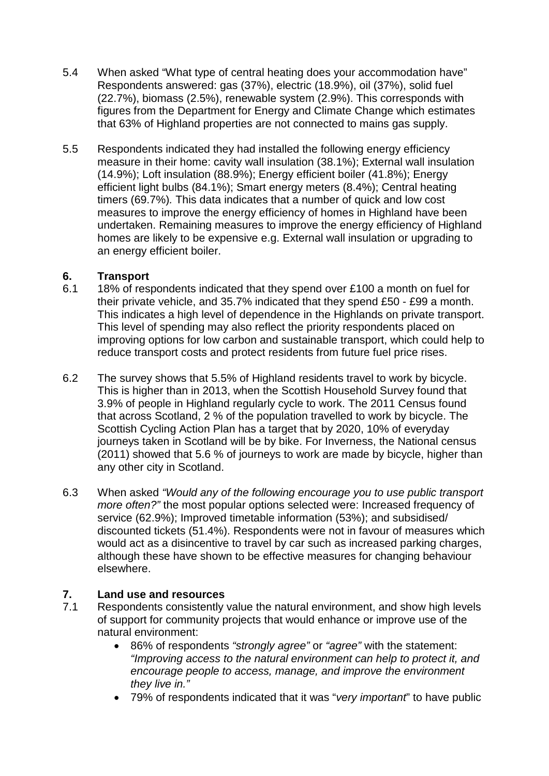- 5.4 When asked "What type of central heating does your accommodation have" Respondents answered: gas (37%), electric (18.9%), oil (37%), solid fuel (22.7%), biomass (2.5%), renewable system (2.9%). This corresponds with figures from the Department for Energy and Climate Change which estimates that 63% of Highland properties are not connected to mains gas supply.
- 5.5 Respondents indicated they had installed the following energy efficiency measure in their home: cavity wall insulation (38.1%); External wall insulation (14.9%); Loft insulation (88.9%); Energy efficient boiler (41.8%); Energy efficient light bulbs (84.1%); Smart energy meters (8.4%); Central heating timers (69.7%)*.* This data indicates that a number of quick and low cost measures to improve the energy efficiency of homes in Highland have been undertaken. Remaining measures to improve the energy efficiency of Highland homes are likely to be expensive e.g. External wall insulation or upgrading to an energy efficient boiler.

# **6. Transport**

- 18% of respondents indicated that they spend over £100 a month on fuel for their private vehicle, and 35.7% indicated that they spend £50 - £99 a month. This indicates a high level of dependence in the Highlands on private transport. This level of spending may also reflect the priority respondents placed on improving options for low carbon and sustainable transport, which could help to reduce transport costs and protect residents from future fuel price rises.
- 6.2 The survey shows that 5.5% of Highland residents travel to work by bicycle. This is higher than in 2013, when the Scottish Household Survey found that 3.9% of people in Highland regularly cycle to work. The 2011 Census found that across Scotland, 2 % of the population travelled to work by bicycle. The Scottish Cycling Action Plan has a target that by 2020, 10% of everyday journeys taken in Scotland will be by bike. For Inverness, the National census (2011) showed that 5.6 % of journeys to work are made by bicycle, higher than any other city in Scotland.
- 6.3 When asked *"Would any of the following encourage you to use public transport more often?"* the most popular options selected were: Increased frequency of service (62.9%); Improved timetable information (53%); and subsidised/ discounted tickets (51.4%). Respondents were not in favour of measures which would act as a disincentive to travel by car such as increased parking charges, although these have shown to be effective measures for changing behaviour elsewhere.

## **7. Land use and resources**

- 7.1 Respondents consistently value the natural environment, and show high levels of support for community projects that would enhance or improve use of the natural environment:
	- 86% of respondents *"strongly agree"* or *"agree"* with the statement: *"Improving access to the natural environment can help to protect it, and encourage people to access, manage, and improve the environment they live in."*
	- 79% of respondents indicated that it was "*very important*" to have public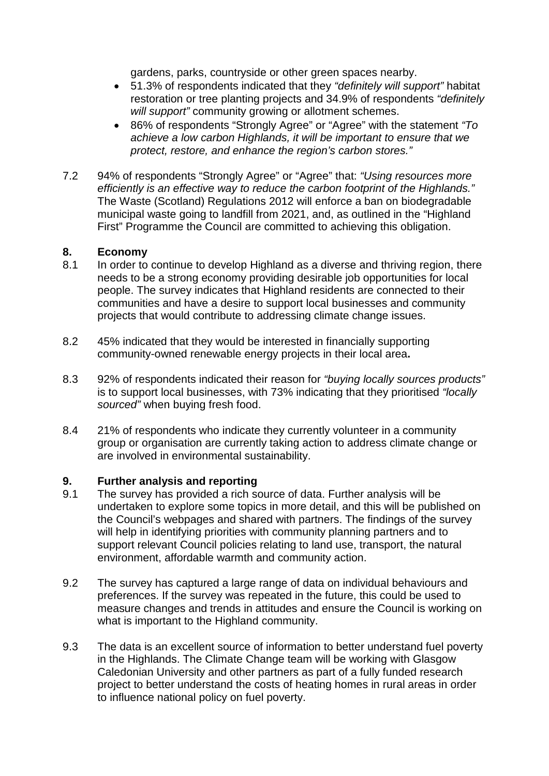gardens, parks, countryside or other green spaces nearby.

- 51.3% of respondents indicated that they *"definitely will support"* habitat restoration or tree planting projects and 34.9% of respondents *"definitely will support"* community growing or allotment schemes.
- 86% of respondents "Strongly Agree" or "Agree" with the statement *"To achieve a low carbon Highlands, it will be important to ensure that we protect, restore, and enhance the region's carbon stores."*
- 7.2 94% of respondents "Strongly Agree" or "Agree" that: *"Using resources more efficiently is an effective way to reduce the carbon footprint of the Highlands."* The Waste (Scotland) Regulations 2012 will enforce a ban on biodegradable municipal waste going to landfill from 2021, and, as outlined in the "Highland First" Programme the Council are committed to achieving this obligation.

### **8. Economy**

- 8.1 In order to continue to develop Highland as a diverse and thriving region, there needs to be a strong economy providing desirable job opportunities for local people. The survey indicates that Highland residents are connected to their communities and have a desire to support local businesses and community projects that would contribute to addressing climate change issues.
- 8.2 45% indicated that they would be interested in financially supporting community-owned renewable energy projects in their local area**.**
- 8.3 92% of respondents indicated their reason for *"buying locally sources products"* is to support local businesses, with 73% indicating that they prioritised *"locally sourced"* when buying fresh food.
- 8.4 21% of respondents who indicate they currently volunteer in a community group or organisation are currently taking action to address climate change or are involved in environmental sustainability.

# **9. Further analysis and reporting**

- The survey has provided a rich source of data. Further analysis will be undertaken to explore some topics in more detail, and this will be published on the Council's webpages and shared with partners. The findings of the survey will help in identifying priorities with community planning partners and to support relevant Council policies relating to land use, transport, the natural environment, affordable warmth and community action.
- 9.2 The survey has captured a large range of data on individual behaviours and preferences. If the survey was repeated in the future, this could be used to measure changes and trends in attitudes and ensure the Council is working on what is important to the Highland community.
- 9.3 The data is an excellent source of information to better understand fuel poverty in the Highlands. The Climate Change team will be working with Glasgow Caledonian University and other partners as part of a fully funded research project to better understand the costs of heating homes in rural areas in order to influence national policy on fuel poverty.